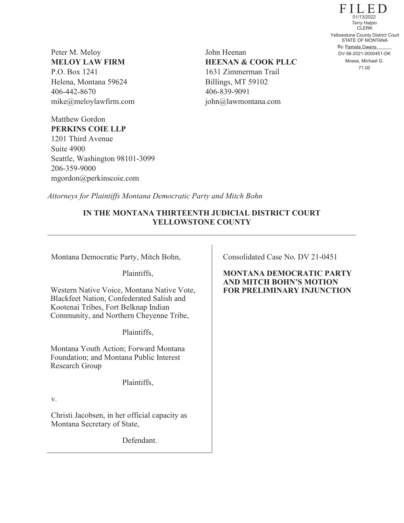Peter M. Meloy **MELOY LAW FIRM**  P.O. Box 1241 Helena, Montana 59624 406-442-8670 mike@meloylawfirm.com

Matthew Gordon

Suite 4900

206-359-9000

**PERKINS COIE LLP** 1201 Third Avenue

Seattle, Washington 98101-3099

mgordon@perkinscoie.com

John Heenan **HEENAN & COOK PLLC** 1631 Zimmerman Trail Billings, MT 59102 406-839-9091 john@lawmontana.com

FILED STATE OF MONTANA By: Pamela Owens CLERK 71.00 Yellowstone County District Court DV-56-2021-0000451-DK 01/13/2022 *Terry Halpin* Moses, Michael G.

*Attorneys for Plaintiffs Montana Democratic Party and Mitch Bohn*

## **IN THE MONTANA THIRTEENTH JUDICIAL DISTRICT COURT YELLOWSTONE COUNTY**

Montana Democratic Party, Mitch Bohn,

Plaintiffs,

Western Native Voice, Montana Native Vote, Blackfeet Nation, Confederated Salish and Kootenai Tribes, Fort Belknap Indian Community, and Northern Cheyenne Tribe,

Plaintiffs,

Montana Youth Action; Forward Montana Foundation; and Montana Public Interest Research Group

Plaintiffs,

v.

Christi Jacobsen, in her official capacity as Montana Secretary of State,

Defendant.

Consolidated Case No. DV 21-0451

**MONTANA DEMOCRATIC PARTY AND MITCH BOHN'S MOTION FOR PRELIMINARY INJUNCTION**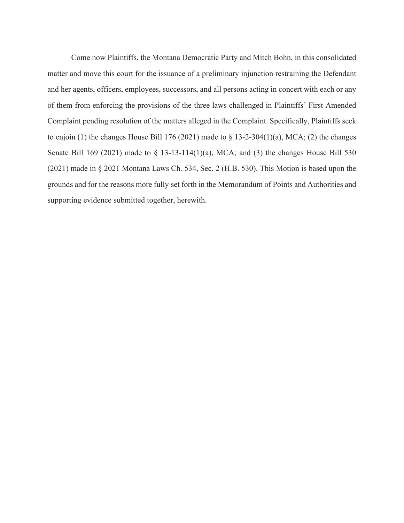Come now Plaintiffs, the Montana Democratic Party and Mitch Bohn, in this consolidated matter and move this court for the issuance of a preliminary injunction restraining the Defendant and her agents, officers, employees, successors, and all persons acting in concert with each or any of them from enforcing the provisions of the three laws challenged in Plaintiffs' First Amended Complaint pending resolution of the matters alleged in the Complaint. Specifically, Plaintiffs seek to enjoin (1) the changes House Bill 176 (2021) made to  $\S$  13-2-304(1)(a), MCA; (2) the changes Senate Bill 169 (2021) made to § 13-13-114(1)(a), MCA; and (3) the changes House Bill 530 (2021) made in § 2021 Montana Laws Ch. 534, Sec. 2 (H.B. 530). This Motion is based upon the grounds and for the reasons more fully set forth in the Memorandum of Points and Authorities and supporting evidence submitted together, herewith.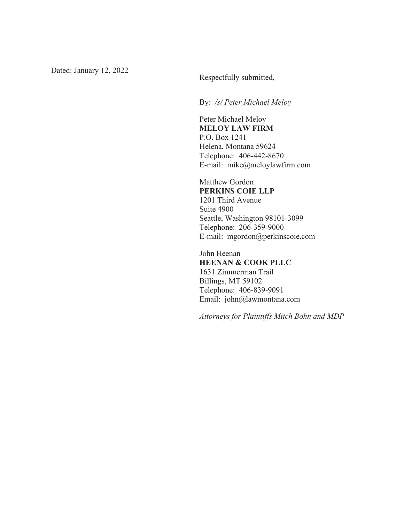By: */s/ Peter Michael Meloy*

Peter Michael Meloy **MELOY LAW FIRM**  P.O. Box 1241 Helena, Montana 59624 Telephone: 406-442-8670 E-mail: mike@meloylawfirm.com

Matthew Gordon **PERKINS COIE LLP**  1201 Third Avenue Suite 4900 Seattle, Washington 98101-3099 Telephone: 206-359-9000 E-mail: mgordon@perkinscoie.com

John Heenan **HEENAN & COOK PLLC**  1631 Zimmerman Trail Billings, MT 59102 Telephone: 406-839-9091 Email: john@lawmontana.com

*Attorneys for Plaintiffs Mitch Bohn and MDP*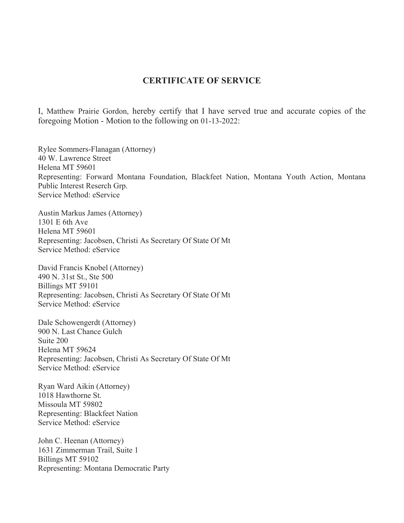## **CERTIFICATE OF SERVICE**

I, Matthew Prairie Gordon, hereby certify that I have served true and accurate copies of the foregoing Motion - Motion to the following on 01-13-2022:

Rylee Sommers-Flanagan (Attorney) 40 W. Lawrence Street Helena MT 59601 Representing: Forward Montana Foundation, Blackfeet Nation, Montana Youth Action, Montana Public Interest Reserch Grp. Service Method: eService

Austin Markus James (Attorney) 1301 E 6th Ave Helena MT 59601 Representing: Jacobsen, Christi As Secretary Of State Of Mt Service Method: eService

David Francis Knobel (Attorney) 490 N. 31st St., Ste 500 Billings MT 59101 Representing: Jacobsen, Christi As Secretary Of State Of Mt Service Method: eService

Dale Schowengerdt (Attorney) 900 N. Last Chance Gulch Suite 200 Helena MT 59624 Representing: Jacobsen, Christi As Secretary Of State Of Mt Service Method: eService

Ryan Ward Aikin (Attorney) 1018 Hawthorne St. Missoula MT 59802 Representing: Blackfeet Nation Service Method: eService

John C. Heenan (Attorney) 1631 Zimmerman Trail, Suite 1 Billings MT 59102 Representing: Montana Democratic Party